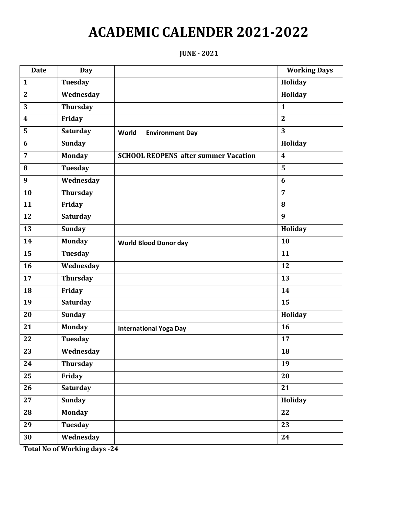# **JUNE - 2021**

| <b>Date</b>             | <b>Day</b>      |                                             | <b>Working Days</b> |
|-------------------------|-----------------|---------------------------------------------|---------------------|
| $\mathbf{1}$            | Tuesday         |                                             | Holiday             |
| $\overline{2}$          | Wednesday       |                                             | Holiday             |
| 3                       | <b>Thursday</b> |                                             | $\mathbf{1}$        |
| $\overline{\mathbf{4}}$ | Friday          |                                             | $\overline{2}$      |
| 5                       | Saturday        | World<br><b>Environment Day</b>             | 3                   |
| 6                       | <b>Sunday</b>   |                                             | Holiday             |
| $\overline{7}$          | <b>Monday</b>   | <b>SCHOOL REOPENS after summer Vacation</b> | $\boldsymbol{4}$    |
| 8                       | <b>Tuesday</b>  |                                             | 5                   |
| 9                       | Wednesday       |                                             | 6                   |
| 10                      | <b>Thursday</b> |                                             | $\overline{7}$      |
| 11                      | Friday          |                                             | 8                   |
| 12                      | Saturday        |                                             | 9                   |
| 13                      | <b>Sunday</b>   |                                             | Holiday             |
| 14                      | <b>Monday</b>   | <b>World Blood Donor day</b>                | 10                  |
| 15                      | <b>Tuesday</b>  |                                             | 11                  |
| 16                      | Wednesday       |                                             | 12                  |
| 17                      | <b>Thursday</b> |                                             | 13                  |
| 18                      | Friday          |                                             | 14                  |
| 19                      | Saturday        |                                             | 15                  |
| 20                      | <b>Sunday</b>   |                                             | Holiday             |
| 21                      | <b>Monday</b>   | <b>International Yoga Day</b>               | 16                  |
| 22                      | <b>Tuesday</b>  |                                             | 17                  |
| 23                      | Wednesday       |                                             | 18                  |
| 24                      | <b>Thursday</b> |                                             | 19                  |
| 25                      | Friday          |                                             | 20                  |
| 26                      | Saturday        |                                             | $\overline{21}$     |
| 27                      | <b>Sunday</b>   |                                             | Holiday             |
| 28                      | <b>Monday</b>   |                                             | 22                  |
| 29                      | <b>Tuesday</b>  |                                             | 23                  |
| 30                      | Wednesday       |                                             | 24                  |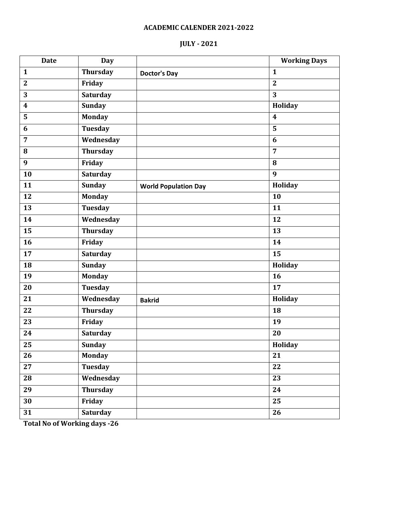# **JULY - 2021**

| <b>Day</b>      |                             | <b>Working Days</b>     |
|-----------------|-----------------------------|-------------------------|
| <b>Thursday</b> | <b>Doctor's Day</b>         | $\mathbf{1}$            |
| Friday          |                             | $\overline{2}$          |
| Saturday        |                             | 3                       |
| <b>Sunday</b>   |                             | Holiday                 |
| <b>Monday</b>   |                             | $\overline{\mathbf{4}}$ |
| <b>Tuesday</b>  |                             | 5                       |
| Wednesday       |                             | 6                       |
| Thursday        |                             | $\overline{7}$          |
| Friday          |                             | 8                       |
| <b>Saturday</b> |                             | 9                       |
| <b>Sunday</b>   | <b>World Population Day</b> | Holiday                 |
| <b>Monday</b>   |                             | 10                      |
| <b>Tuesday</b>  |                             | 11                      |
| Wednesday       |                             | 12                      |
| <b>Thursday</b> |                             | 13                      |
| Friday          |                             | 14                      |
| Saturday        |                             | 15                      |
| <b>Sunday</b>   |                             | Holiday                 |
| <b>Monday</b>   |                             | 16                      |
| <b>Tuesday</b>  |                             | 17                      |
| Wednesday       | <b>Bakrid</b>               | Holiday                 |
| Thursday        |                             | 18                      |
| Friday          |                             | 19                      |
| Saturday        |                             | 20                      |
| <b>Sunday</b>   |                             | Holiday                 |
| <b>Monday</b>   |                             | 21                      |
| <b>Tuesday</b>  |                             | 22                      |
| Wednesday       |                             | 23                      |
| Thursday        |                             | 24                      |
| Friday          |                             | 25                      |
| <b>Saturday</b> |                             | 26                      |
|                 |                             |                         |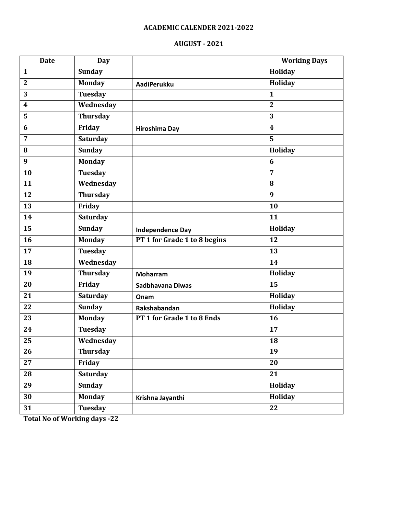# **AUGUST - 2021**

| <b>Date</b>             | <b>Day</b>      |                              | <b>Working Days</b> |
|-------------------------|-----------------|------------------------------|---------------------|
| $\mathbf{1}$            | <b>Sunday</b>   |                              | Holiday             |
| $\boldsymbol{2}$        | <b>Monday</b>   | <b>AadiPerukku</b>           | Holiday             |
| 3                       | <b>Tuesday</b>  |                              | $\mathbf{1}$        |
| $\overline{\mathbf{4}}$ | Wednesday       |                              | $\mathbf{2}$        |
| 5                       | <b>Thursday</b> |                              | 3                   |
| 6                       | Friday          | <b>Hiroshima Day</b>         | $\boldsymbol{4}$    |
| $\overline{7}$          | <b>Saturday</b> |                              | 5                   |
| 8                       | <b>Sunday</b>   |                              | <b>Holiday</b>      |
| 9                       | <b>Monday</b>   |                              | 6                   |
| 10                      | <b>Tuesday</b>  |                              | $\overline{7}$      |
| 11                      | Wednesday       |                              | 8                   |
| 12                      | <b>Thursday</b> |                              | 9                   |
| 13                      | Friday          |                              | 10                  |
| 14                      | Saturday        |                              | 11                  |
| $\overline{15}$         | <b>Sunday</b>   | <b>Independence Day</b>      | Holiday             |
| 16                      | <b>Monday</b>   | PT 1 for Grade 1 to 8 begins | 12                  |
| 17                      | <b>Tuesday</b>  |                              | 13                  |
| 18                      | Wednesday       |                              | 14                  |
| 19                      | <b>Thursday</b> | <b>Moharram</b>              | Holiday             |
| 20                      | Friday          | Sadbhavana Diwas             | 15                  |
| 21                      | <b>Saturday</b> | Onam                         | Holiday             |
| 22                      | <b>Sunday</b>   | Rakshabandan                 | Holiday             |
| 23                      | <b>Monday</b>   | PT 1 for Grade 1 to 8 Ends   | 16                  |
| 24                      | <b>Tuesday</b>  |                              | 17                  |
| 25                      | Wednesday       |                              | 18                  |
| 26                      | <b>Thursday</b> |                              | 19                  |
| 27                      | Friday          |                              | 20                  |
| 28                      | <b>Saturday</b> |                              | 21                  |
| 29                      | <b>Sunday</b>   |                              | Holiday             |
| 30                      | <b>Monday</b>   | Krishna Jayanthi             | Holiday             |
| 31                      | <b>Tuesday</b>  |                              | 22                  |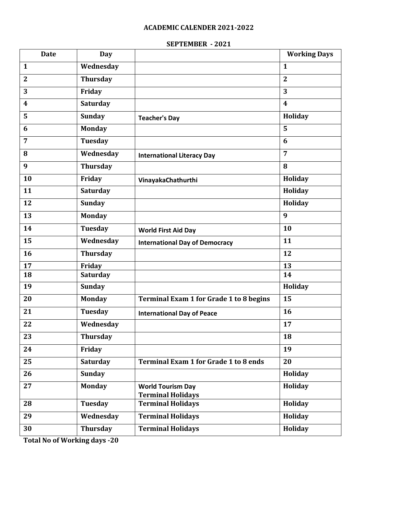# **SEPTEMBER - 2021**

| <b>Date</b>             | <b>Day</b>      |                                                      | <b>Working Days</b>     |
|-------------------------|-----------------|------------------------------------------------------|-------------------------|
| 1                       | Wednesday       |                                                      | $\mathbf{1}$            |
| $\overline{2}$          | <b>Thursday</b> |                                                      | $\overline{2}$          |
| 3                       | Friday          |                                                      | 3                       |
| $\overline{\mathbf{4}}$ | <b>Saturday</b> |                                                      | $\overline{\mathbf{4}}$ |
| 5                       | <b>Sunday</b>   | <b>Teacher's Day</b>                                 | Holiday                 |
| 6                       | <b>Monday</b>   |                                                      | 5                       |
| $\overline{7}$          | <b>Tuesday</b>  |                                                      | 6                       |
| 8                       | Wednesday       | <b>International Literacy Day</b>                    | $\overline{7}$          |
| 9                       | <b>Thursday</b> |                                                      | 8                       |
| 10                      | Friday          | VinayakaChathurthi                                   | Holiday                 |
| 11                      | <b>Saturday</b> |                                                      | Holiday                 |
| 12                      | <b>Sunday</b>   |                                                      | Holiday                 |
| 13                      | <b>Monday</b>   |                                                      | 9                       |
| 14                      | <b>Tuesday</b>  | <b>World First Aid Day</b>                           | 10                      |
| 15                      | Wednesday       | <b>International Day of Democracy</b>                | 11                      |
| 16                      | <b>Thursday</b> |                                                      | 12                      |
| 17                      | Friday          |                                                      | 13                      |
| 18                      | Saturday        |                                                      | 14                      |
| 19                      | <b>Sunday</b>   |                                                      | Holiday                 |
| 20                      | <b>Monday</b>   | <b>Terminal Exam 1 for Grade 1 to 8 begins</b>       | 15                      |
| 21                      | <b>Tuesday</b>  | <b>International Day of Peace</b>                    | 16                      |
| 22                      | Wednesday       |                                                      | 17                      |
| 23                      | <b>Thursday</b> |                                                      | 18                      |
| 24                      | Friday          |                                                      | 19                      |
| 25                      | <b>Saturday</b> | <b>Terminal Exam 1 for Grade 1 to 8 ends</b>         | 20                      |
| 26                      | <b>Sunday</b>   |                                                      | Holiday                 |
| 27                      | <b>Monday</b>   | <b>World Tourism Day</b><br><b>Terminal Holidays</b> | Holiday                 |
| 28                      | <b>Tuesday</b>  | <b>Terminal Holidays</b>                             | Holiday                 |
| 29                      | Wednesday       | <b>Terminal Holidays</b>                             | Holiday                 |
|                         |                 |                                                      |                         |
| 30                      | <b>Thursday</b> | <b>Terminal Holidays</b>                             | Holiday                 |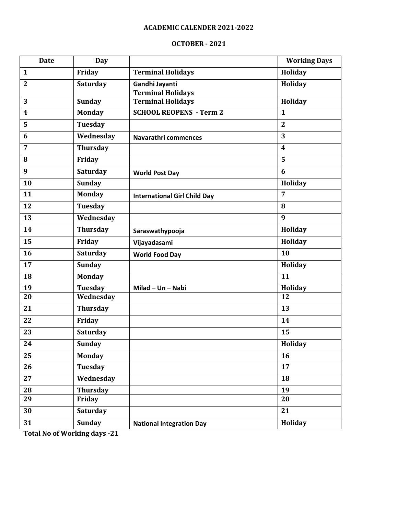#### **OCTOBER - 2021**

| <b>Date</b>    | <b>Day</b>      |                                     | <b>Working Days</b>     |
|----------------|-----------------|-------------------------------------|-------------------------|
| $\mathbf{1}$   | Friday          | <b>Terminal Holidays</b>            | Holiday                 |
| $\mathbf{2}$   | <b>Saturday</b> | Gandhi Jayanti                      | Holiday                 |
|                |                 | <b>Terminal Holidays</b>            |                         |
| 3              | <b>Sunday</b>   | <b>Terminal Holidays</b>            | Holiday                 |
| 4              | <b>Monday</b>   | <b>SCHOOL REOPENS - Term 2</b>      | $\mathbf{1}$            |
| 5              | <b>Tuesday</b>  |                                     | $\mathbf{2}$            |
| 6              | Wednesday       | Navarathri commences                | 3                       |
| $\overline{7}$ | <b>Thursday</b> |                                     | $\overline{\mathbf{4}}$ |
| 8              | Friday          |                                     | 5                       |
| 9              | <b>Saturday</b> | <b>World Post Day</b>               | 6                       |
| 10             | <b>Sunday</b>   |                                     | Holiday                 |
| 11             | <b>Monday</b>   | <b>International Girl Child Day</b> | $\overline{7}$          |
| 12             | <b>Tuesday</b>  |                                     | 8                       |
| 13             | Wednesday       |                                     | 9                       |
| 14             | <b>Thursday</b> | Saraswathypooja                     | Holiday                 |
| 15             | Friday          | Vijayadasami                        | Holiday                 |
| 16             | <b>Saturday</b> | <b>World Food Day</b>               | 10                      |
| 17             | <b>Sunday</b>   |                                     | Holiday                 |
| 18             | <b>Monday</b>   |                                     | 11                      |
| 19             | <b>Tuesday</b>  | Milad - Un - Nabi                   | Holiday                 |
| 20             | Wednesday       |                                     | 12                      |
| 21             | <b>Thursday</b> |                                     | 13                      |
| 22             | Friday          |                                     | 14                      |
| 23             | <b>Saturday</b> |                                     | 15                      |
| 24             | <b>Sunday</b>   |                                     | Holiday                 |
| 25             | <b>Monday</b>   |                                     | 16                      |
| 26             | <b>Tuesday</b>  |                                     | 17                      |
| 27             | Wednesday       |                                     | 18                      |
| 28             | <b>Thursday</b> |                                     | 19                      |
| 29             | Friday          |                                     | 20                      |
| 30             | <b>Saturday</b> |                                     | 21                      |
| 31             | <b>Sunday</b>   | <b>National Integration Day</b>     | Holiday                 |
|                |                 |                                     |                         |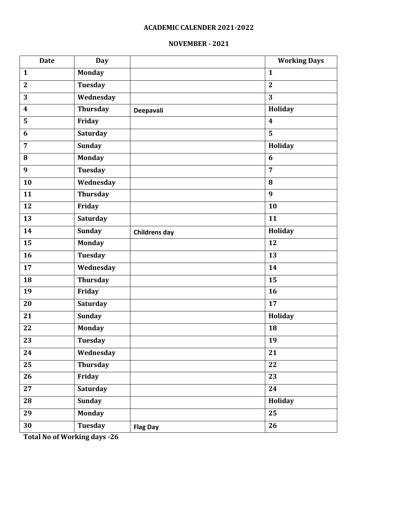#### **NOVEMBER - 2021**

| <b>Date</b>             | <b>Day</b>      |                      | <b>Working Days</b>     |
|-------------------------|-----------------|----------------------|-------------------------|
| $\mathbf{1}$            | <b>Monday</b>   |                      | $\mathbf{1}$            |
| $\overline{2}$          | <b>Tuesday</b>  |                      | $\overline{2}$          |
| $\overline{3}$          | Wednesday       |                      | $\overline{3}$          |
| $\overline{\mathbf{4}}$ | <b>Thursday</b> | Deepavali            | Holiday                 |
| 5                       | Friday          |                      | $\overline{\mathbf{4}}$ |
| 6                       | <b>Saturday</b> |                      | $\overline{5}$          |
| $\overline{7}$          | <b>Sunday</b>   |                      | Holiday                 |
| 8                       | <b>Monday</b>   |                      | 6                       |
| 9                       | <b>Tuesday</b>  |                      | $\overline{7}$          |
| 10                      | Wednesday       |                      | 8                       |
| 11                      | <b>Thursday</b> |                      | 9                       |
| $\overline{12}$         | Friday          |                      | 10                      |
| 13                      | Saturday        |                      | 11                      |
| 14                      | <b>Sunday</b>   | <b>Childrens day</b> | Holiday                 |
| $\overline{15}$         | <b>Monday</b>   |                      | $\overline{12}$         |
| 16                      | <b>Tuesday</b>  |                      | 13                      |
| 17                      | Wednesday       |                      | 14                      |
| 18                      | <b>Thursday</b> |                      | 15                      |
| 19                      | Friday          |                      | 16                      |
| 20                      | <b>Saturday</b> |                      | $\overline{17}$         |
| 21                      | <b>Sunday</b>   |                      | Holiday                 |
| 22                      | <b>Monday</b>   |                      | 18                      |
| 23                      | <b>Tuesday</b>  |                      | 19                      |
| 24                      | Wednesday       |                      | 21                      |
| 25                      | <b>Thursday</b> |                      | 22                      |
| 26                      | Friday          |                      | 23                      |
| 27                      | Saturday        |                      | 24                      |
| 28                      | <b>Sunday</b>   |                      | Holiday                 |
| 29                      | <b>Monday</b>   |                      | 25                      |
| 30                      | Tuesday         | <b>Flag Day</b>      | $\overline{26}$         |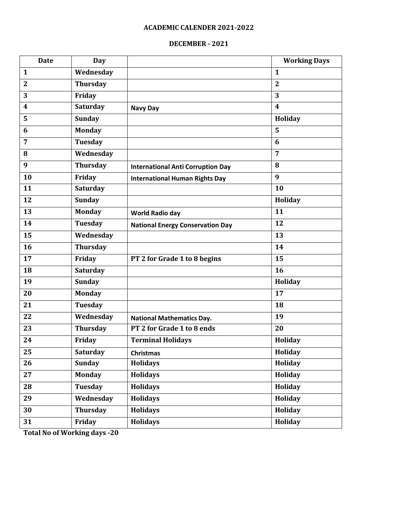# **DECEMBER - 2021**

| <b>Date</b>    | <b>Day</b>      |                                          | <b>Working Days</b>     |
|----------------|-----------------|------------------------------------------|-------------------------|
| 1              | Wednesday       |                                          | $\mathbf{1}$            |
| $\mathbf{2}$   | <b>Thursday</b> |                                          | $\overline{2}$          |
| 3              | Friday          |                                          | 3                       |
| 4              | Saturday        | <b>Navy Day</b>                          | $\overline{\mathbf{4}}$ |
| 5              | <b>Sunday</b>   |                                          | Holiday                 |
| 6              | <b>Monday</b>   |                                          | 5                       |
| $\overline{7}$ | Tuesday         |                                          | 6                       |
| 8              | Wednesday       |                                          | 7                       |
| 9              | <b>Thursday</b> | <b>International Anti Corruption Day</b> | 8                       |
| 10             | Friday          | <b>International Human Rights Day</b>    | 9                       |
| 11             | <b>Saturday</b> |                                          | 10                      |
| 12             | <b>Sunday</b>   |                                          | Holiday                 |
| 13             | Monday          | <b>World Radio day</b>                   | 11                      |
| 14             | Tuesday         | <b>National Energy Conservation Day</b>  | 12                      |
| 15             | Wednesday       |                                          | 13                      |
| 16             | <b>Thursday</b> |                                          | 14                      |
| 17             | Friday          | PT 2 for Grade 1 to 8 begins             | 15                      |
| 18             | <b>Saturday</b> |                                          | 16                      |
| 19             | <b>Sunday</b>   |                                          | Holiday                 |
| 20             | <b>Monday</b>   |                                          | 17                      |
| 21             | <b>Tuesday</b>  |                                          | 18                      |
| 22             | Wednesday       | <b>National Mathematics Day.</b>         | 19                      |
| 23             | <b>Thursday</b> | PT 2 for Grade 1 to 8 ends               | 20                      |
| 24             | Friday          | <b>Terminal Holidays</b>                 | Holiday                 |
| 25             | <b>Saturday</b> | <b>Christmas</b>                         | <b>Holiday</b>          |
| 26             | <b>Sunday</b>   | <b>Holidays</b>                          | Holiday                 |
| 27             | <b>Monday</b>   | <b>Holidays</b>                          | Holiday                 |
| 28             | <b>Tuesday</b>  | <b>Holidays</b>                          | Holiday                 |
| 29             | Wednesday       | <b>Holidays</b>                          | <b>Holiday</b>          |
| 30             | Thursday        | <b>Holidays</b>                          | Holiday                 |
| 31             | Friday          | <b>Holidays</b>                          | <b>Holiday</b>          |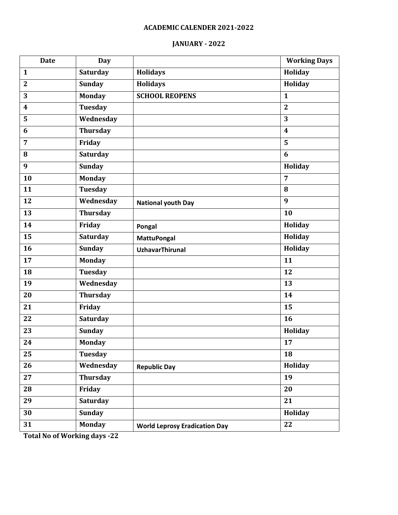# **JANUARY - 2022**

| Saturday<br>Holiday<br><b>Holidays</b><br>$\mathbf{1}$<br><b>Sunday</b><br><b>Holidays</b><br>Holiday<br>$\overline{2}$<br><b>SCHOOL REOPENS</b><br>3<br><b>Monday</b><br>$\mathbf{1}$<br><b>Tuesday</b><br>$\overline{2}$<br>$\boldsymbol{4}$<br>Wednesday<br>3<br>5<br><b>Thursday</b><br>6<br>$\overline{\mathbf{4}}$<br>Friday<br>5<br>$\overline{7}$<br><b>Saturday</b><br>6<br>8<br>9<br><b>Sunday</b><br>Holiday<br><b>Monday</b><br>10<br>$\overline{7}$<br>11<br><b>Tuesday</b><br>8<br>Wednesday<br>9<br>12<br><b>National youth Day</b><br>$\overline{13}$<br><b>Thursday</b><br>10<br>14<br>Friday<br>Holiday<br>Pongal<br>15<br><b>Saturday</b><br><b>Holiday</b><br><b>MattuPongal</b><br>16<br><b>Sunday</b><br>Holiday<br><b>UzhavarThirunal</b><br>$\overline{17}$<br><b>Monday</b><br>11<br><b>Tuesday</b><br>18<br>12<br>19<br>Wednesday<br>13<br>20<br><b>Thursday</b><br>14<br>Friday<br>15<br>21<br><b>Saturday</b><br>22<br>16<br>23<br><b>Sunday</b><br>Holiday | <b>Date</b> |
|-----------------------------------------------------------------------------------------------------------------------------------------------------------------------------------------------------------------------------------------------------------------------------------------------------------------------------------------------------------------------------------------------------------------------------------------------------------------------------------------------------------------------------------------------------------------------------------------------------------------------------------------------------------------------------------------------------------------------------------------------------------------------------------------------------------------------------------------------------------------------------------------------------------------------------------------------------------------------------------------|-------------|
|                                                                                                                                                                                                                                                                                                                                                                                                                                                                                                                                                                                                                                                                                                                                                                                                                                                                                                                                                                                         |             |
|                                                                                                                                                                                                                                                                                                                                                                                                                                                                                                                                                                                                                                                                                                                                                                                                                                                                                                                                                                                         |             |
|                                                                                                                                                                                                                                                                                                                                                                                                                                                                                                                                                                                                                                                                                                                                                                                                                                                                                                                                                                                         |             |
|                                                                                                                                                                                                                                                                                                                                                                                                                                                                                                                                                                                                                                                                                                                                                                                                                                                                                                                                                                                         |             |
|                                                                                                                                                                                                                                                                                                                                                                                                                                                                                                                                                                                                                                                                                                                                                                                                                                                                                                                                                                                         |             |
|                                                                                                                                                                                                                                                                                                                                                                                                                                                                                                                                                                                                                                                                                                                                                                                                                                                                                                                                                                                         |             |
|                                                                                                                                                                                                                                                                                                                                                                                                                                                                                                                                                                                                                                                                                                                                                                                                                                                                                                                                                                                         |             |
|                                                                                                                                                                                                                                                                                                                                                                                                                                                                                                                                                                                                                                                                                                                                                                                                                                                                                                                                                                                         |             |
|                                                                                                                                                                                                                                                                                                                                                                                                                                                                                                                                                                                                                                                                                                                                                                                                                                                                                                                                                                                         |             |
|                                                                                                                                                                                                                                                                                                                                                                                                                                                                                                                                                                                                                                                                                                                                                                                                                                                                                                                                                                                         |             |
|                                                                                                                                                                                                                                                                                                                                                                                                                                                                                                                                                                                                                                                                                                                                                                                                                                                                                                                                                                                         |             |
|                                                                                                                                                                                                                                                                                                                                                                                                                                                                                                                                                                                                                                                                                                                                                                                                                                                                                                                                                                                         |             |
|                                                                                                                                                                                                                                                                                                                                                                                                                                                                                                                                                                                                                                                                                                                                                                                                                                                                                                                                                                                         |             |
|                                                                                                                                                                                                                                                                                                                                                                                                                                                                                                                                                                                                                                                                                                                                                                                                                                                                                                                                                                                         |             |
|                                                                                                                                                                                                                                                                                                                                                                                                                                                                                                                                                                                                                                                                                                                                                                                                                                                                                                                                                                                         |             |
|                                                                                                                                                                                                                                                                                                                                                                                                                                                                                                                                                                                                                                                                                                                                                                                                                                                                                                                                                                                         |             |
|                                                                                                                                                                                                                                                                                                                                                                                                                                                                                                                                                                                                                                                                                                                                                                                                                                                                                                                                                                                         |             |
|                                                                                                                                                                                                                                                                                                                                                                                                                                                                                                                                                                                                                                                                                                                                                                                                                                                                                                                                                                                         |             |
|                                                                                                                                                                                                                                                                                                                                                                                                                                                                                                                                                                                                                                                                                                                                                                                                                                                                                                                                                                                         |             |
|                                                                                                                                                                                                                                                                                                                                                                                                                                                                                                                                                                                                                                                                                                                                                                                                                                                                                                                                                                                         |             |
|                                                                                                                                                                                                                                                                                                                                                                                                                                                                                                                                                                                                                                                                                                                                                                                                                                                                                                                                                                                         |             |
|                                                                                                                                                                                                                                                                                                                                                                                                                                                                                                                                                                                                                                                                                                                                                                                                                                                                                                                                                                                         |             |
|                                                                                                                                                                                                                                                                                                                                                                                                                                                                                                                                                                                                                                                                                                                                                                                                                                                                                                                                                                                         |             |
| <b>Monday</b><br>24<br>17                                                                                                                                                                                                                                                                                                                                                                                                                                                                                                                                                                                                                                                                                                                                                                                                                                                                                                                                                               |             |
| 25<br><b>Tuesday</b><br>18                                                                                                                                                                                                                                                                                                                                                                                                                                                                                                                                                                                                                                                                                                                                                                                                                                                                                                                                                              |             |
| Wednesday<br>Holiday<br>26<br><b>Republic Day</b>                                                                                                                                                                                                                                                                                                                                                                                                                                                                                                                                                                                                                                                                                                                                                                                                                                                                                                                                       |             |
| 27<br><b>Thursday</b><br>19                                                                                                                                                                                                                                                                                                                                                                                                                                                                                                                                                                                                                                                                                                                                                                                                                                                                                                                                                             |             |
| 28<br>Friday<br>20                                                                                                                                                                                                                                                                                                                                                                                                                                                                                                                                                                                                                                                                                                                                                                                                                                                                                                                                                                      |             |
| <b>Saturday</b><br>29<br>21                                                                                                                                                                                                                                                                                                                                                                                                                                                                                                                                                                                                                                                                                                                                                                                                                                                                                                                                                             |             |
| <b>Sunday</b><br>Holiday<br>30                                                                                                                                                                                                                                                                                                                                                                                                                                                                                                                                                                                                                                                                                                                                                                                                                                                                                                                                                          |             |
| 31<br>22<br><b>Monday</b><br><b>World Leprosy Eradication Day</b>                                                                                                                                                                                                                                                                                                                                                                                                                                                                                                                                                                                                                                                                                                                                                                                                                                                                                                                       |             |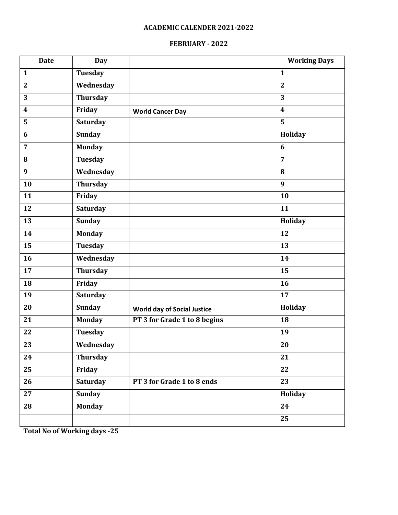# **FEBRUARY - 2022**

| <b>Date</b>             | <b>Day</b>      |                                    | <b>Working Days</b>     |
|-------------------------|-----------------|------------------------------------|-------------------------|
| $\mathbf{1}$            | <b>Tuesday</b>  |                                    | $\mathbf{1}$            |
| $\overline{2}$          | Wednesday       |                                    | $\overline{2}$          |
| 3                       | Thursday        |                                    | 3                       |
| $\overline{\mathbf{4}}$ | Friday          | <b>World Cancer Day</b>            | $\overline{\mathbf{4}}$ |
| 5                       | <b>Saturday</b> |                                    | 5                       |
| 6                       | <b>Sunday</b>   |                                    | Holiday                 |
| $\overline{7}$          | <b>Monday</b>   |                                    | 6                       |
| 8                       | <b>Tuesday</b>  |                                    | $\overline{7}$          |
| 9                       | Wednesday       |                                    | 8                       |
| 10                      | <b>Thursday</b> |                                    | 9                       |
| 11                      | Friday          |                                    | 10                      |
| 12                      | <b>Saturday</b> |                                    | 11                      |
| 13                      | <b>Sunday</b>   |                                    | Holiday                 |
| 14                      | <b>Monday</b>   |                                    | 12                      |
| $\overline{15}$         | <b>Tuesday</b>  |                                    | 13                      |
| 16                      | Wednesday       |                                    | 14                      |
| 17                      | <b>Thursday</b> |                                    | 15                      |
| 18                      | Friday          |                                    | 16                      |
| 19                      | Saturday        |                                    | 17                      |
| 20                      | <b>Sunday</b>   | <b>World day of Social Justice</b> | Holiday                 |
| 21                      | <b>Monday</b>   | PT 3 for Grade 1 to 8 begins       | 18                      |
| 22                      | Tuesday         |                                    | 19                      |
| 23                      | Wednesday       |                                    | 20                      |
| 24                      | Thursday        |                                    | 21                      |
| 25                      | Friday          |                                    | 22                      |
| 26                      | <b>Saturday</b> | PT 3 for Grade 1 to 8 ends         | 23                      |
| 27                      | <b>Sunday</b>   |                                    | Holiday                 |
| 28                      | <b>Monday</b>   |                                    | 24                      |
|                         |                 |                                    | $\overline{25}$         |
|                         |                 |                                    |                         |